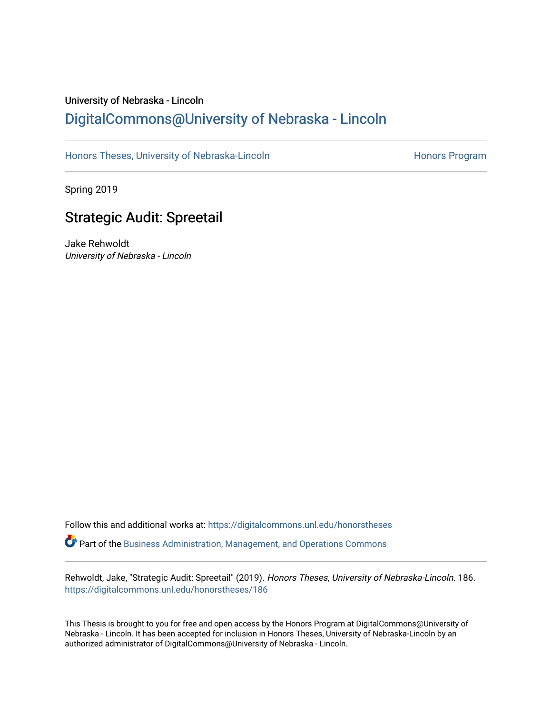# University of Nebraska - Lincoln [DigitalCommons@University of Nebraska - Lincoln](https://digitalcommons.unl.edu/)

[Honors Theses, University of Nebraska-Lincoln](https://digitalcommons.unl.edu/honorstheses) **Honors Program** Honors Program

Spring 2019

# Strategic Audit: Spreetail

Jake Rehwoldt University of Nebraska - Lincoln

Follow this and additional works at: [https://digitalcommons.unl.edu/honorstheses](https://digitalcommons.unl.edu/honorstheses?utm_source=digitalcommons.unl.edu%2Fhonorstheses%2F186&utm_medium=PDF&utm_campaign=PDFCoverPages) Part of the [Business Administration, Management, and Operations Commons](http://network.bepress.com/hgg/discipline/623?utm_source=digitalcommons.unl.edu%2Fhonorstheses%2F186&utm_medium=PDF&utm_campaign=PDFCoverPages)

Rehwoldt, Jake, "Strategic Audit: Spreetail" (2019). Honors Theses, University of Nebraska-Lincoln. 186. [https://digitalcommons.unl.edu/honorstheses/186](https://digitalcommons.unl.edu/honorstheses/186?utm_source=digitalcommons.unl.edu%2Fhonorstheses%2F186&utm_medium=PDF&utm_campaign=PDFCoverPages)

This Thesis is brought to you for free and open access by the Honors Program at DigitalCommons@University of Nebraska - Lincoln. It has been accepted for inclusion in Honors Theses, University of Nebraska-Lincoln by an authorized administrator of DigitalCommons@University of Nebraska - Lincoln.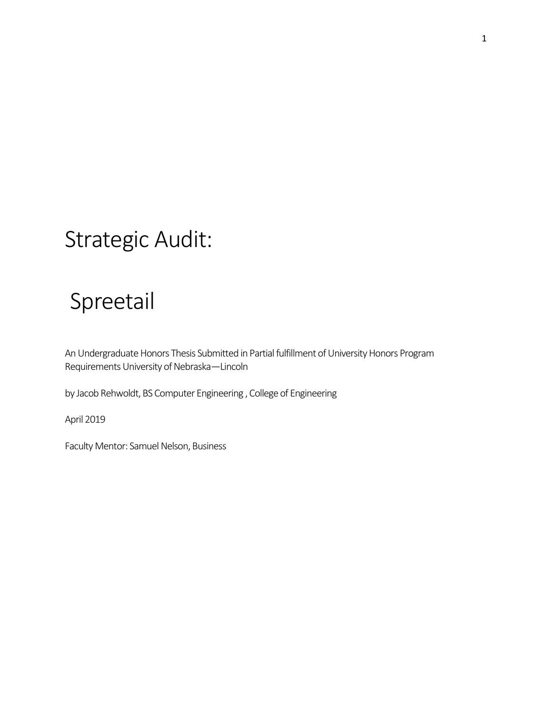# Strategic Audit:

# Spreetail

An Undergraduate Honors Thesis Submitted in Partial fulfillment of University Honors Program Requirements University of Nebraska—Lincoln

by Jacob Rehwoldt, BS Computer Engineering , College of Engineering

April 2019

Faculty Mentor: Samuel Nelson, Business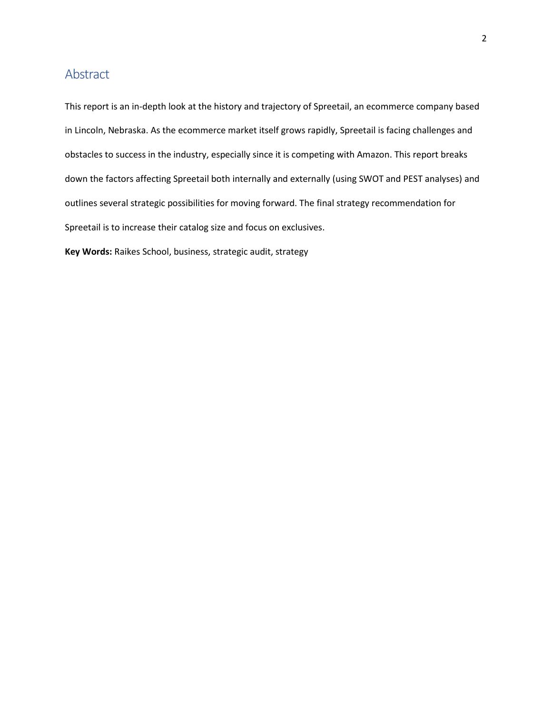# <span id="page-2-0"></span>Abstract

This report is an in-depth look at the history and trajectory of Spreetail, an ecommerce company based in Lincoln, Nebraska. As the ecommerce market itself grows rapidly, Spreetail is facing challenges and obstacles to success in the industry, especially since it is competing with Amazon. This report breaks down the factors affecting Spreetail both internally and externally (using SWOT and PEST analyses) and outlines several strategic possibilities for moving forward. The final strategy recommendation for Spreetail is to increase their catalog size and focus on exclusives.

**Key Words:** Raikes School, business, strategic audit, strategy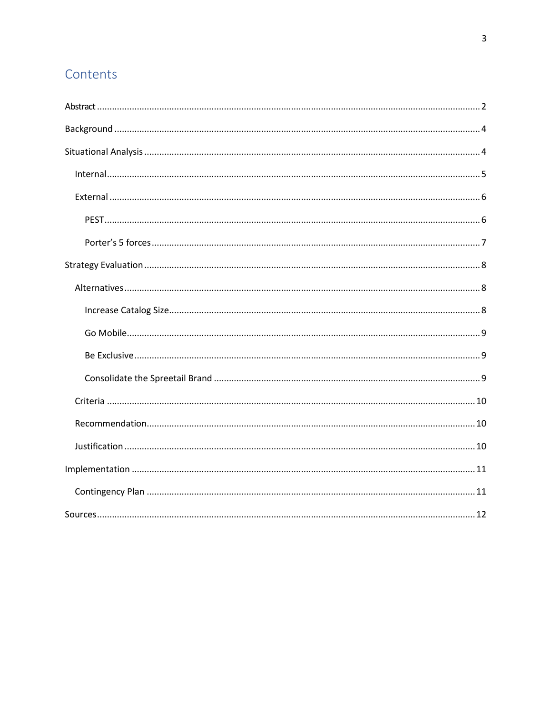# Contents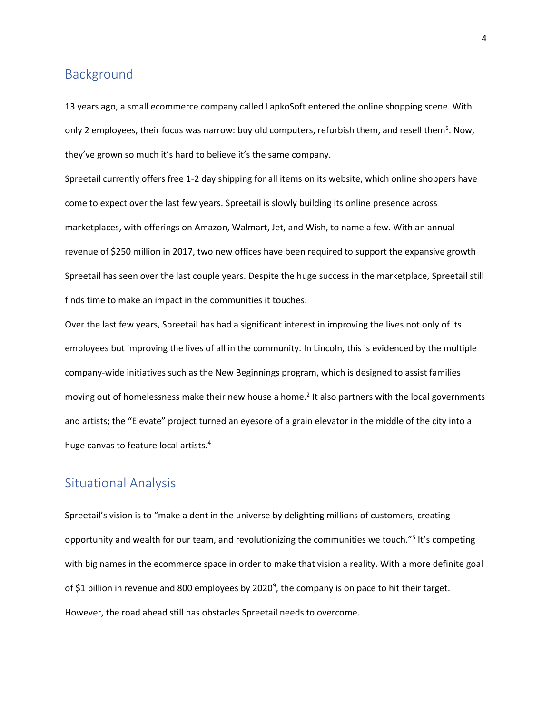# <span id="page-4-0"></span>Background

13 years ago, a small ecommerce company called LapkoSoft entered the online shopping scene. With only 2 employees, their focus was narrow: buy old computers, refurbish them, and resell them<sup>5</sup>. Now, they've grown so much it's hard to believe it's the same company.

Spreetail currently offers free 1-2 day shipping for all items on its website, which online shoppers have come to expect over the last few years. Spreetail is slowly building its online presence across marketplaces, with offerings on Amazon, Walmart, Jet, and Wish, to name a few. With an annual revenue of \$250 million in 2017, two new offices have been required to support the expansive growth Spreetail has seen over the last couple years. Despite the huge success in the marketplace, Spreetail still finds time to make an impact in the communities it touches.

Over the last few years, Spreetail has had a significant interest in improving the lives not only of its employees but improving the lives of all in the community. In Lincoln, this is evidenced by the multiple company-wide initiatives such as the New Beginnings program, which is designed to assist families moving out of homelessness make their new house a home.<sup>2</sup> It also partners with the local governments and artists; the "Elevate" project turned an eyesore of a grain elevator in the middle of the city into a huge canvas to feature local artists.<sup>4</sup>

# <span id="page-4-1"></span>Situational Analysis

Spreetail's vision is to "make a dent in the universe by delighting millions of customers, creating opportunity and wealth for our team, and revolutionizing the communities we touch."<sup>5</sup> It's competing with big names in the ecommerce space in order to make that vision a reality. With a more definite goal of \$1 billion in revenue and 800 employees by 2020<sup>9</sup>, the company is on pace to hit their target. However, the road ahead still has obstacles Spreetail needs to overcome.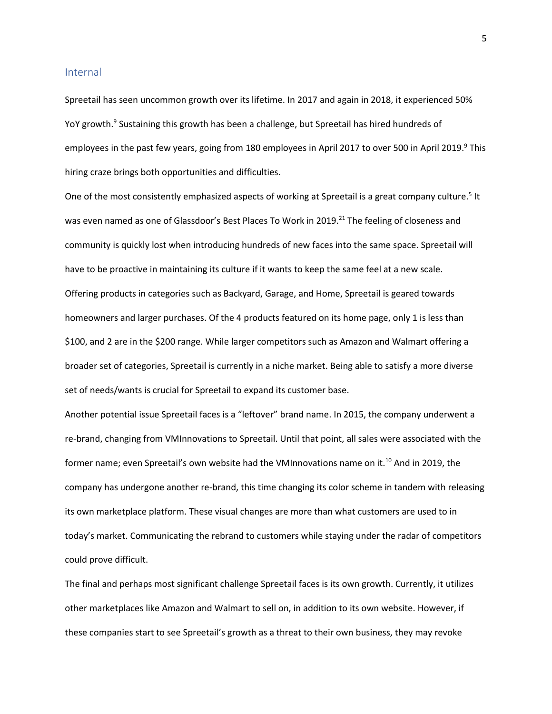#### <span id="page-5-0"></span>Internal

Spreetail has seen uncommon growth over its lifetime. In 2017 and again in 2018, it experienced 50% YoY growth.<sup>9</sup> Sustaining this growth has been a challenge, but Spreetail has hired hundreds of employees in the past few years, going from 180 employees in April 2017 to over 500 in April 2019.<sup>9</sup> This hiring craze brings both opportunities and difficulties.

One of the most consistently emphasized aspects of working at Spreetail is a great company culture.<sup>5</sup> It was even named as one of Glassdoor's Best Places To Work in 2019.<sup>21</sup> The feeling of closeness and community is quickly lost when introducing hundreds of new faces into the same space. Spreetail will have to be proactive in maintaining its culture if it wants to keep the same feel at a new scale. Offering products in categories such as Backyard, Garage, and Home, Spreetail is geared towards homeowners and larger purchases. Of the 4 products featured on its home page, only 1 is less than \$100, and 2 are in the \$200 range. While larger competitors such as Amazon and Walmart offering a broader set of categories, Spreetail is currently in a niche market. Being able to satisfy a more diverse set of needs/wants is crucial for Spreetail to expand its customer base.

Another potential issue Spreetail faces is a "leftover" brand name. In 2015, the company underwent a re-brand, changing from VMInnovations to Spreetail. Until that point, all sales were associated with the former name; even Spreetail's own website had the VMInnovations name on it.<sup>10</sup> And in 2019, the company has undergone another re-brand, this time changing its color scheme in tandem with releasing its own marketplace platform. These visual changes are more than what customers are used to in today's market. Communicating the rebrand to customers while staying under the radar of competitors could prove difficult.

The final and perhaps most significant challenge Spreetail faces is its own growth. Currently, it utilizes other marketplaces like Amazon and Walmart to sell on, in addition to its own website. However, if these companies start to see Spreetail's growth as a threat to their own business, they may revoke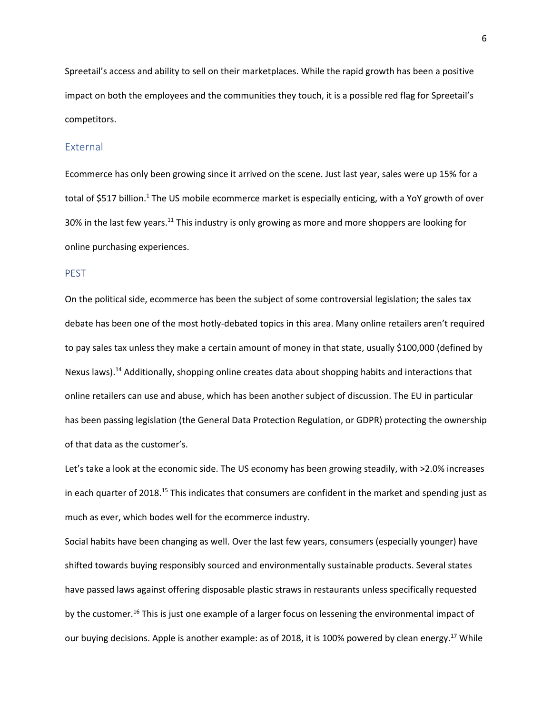Spreetail's access and ability to sell on their marketplaces. While the rapid growth has been a positive impact on both the employees and the communities they touch, it is a possible red flag for Spreetail's competitors.

### <span id="page-6-0"></span>External

Ecommerce has only been growing since it arrived on the scene. Just last year, sales were up 15% for a total of \$517 billion.<sup>1</sup> The US mobile ecommerce market is especially enticing, with a YoY growth of over 30% in the last few years.<sup>11</sup> This industry is only growing as more and more shoppers are looking for online purchasing experiences.

## <span id="page-6-1"></span>PEST

On the political side, ecommerce has been the subject of some controversial legislation; the sales tax debate has been one of the most hotly-debated topics in this area. Many online retailers aren't required to pay sales tax unless they make a certain amount of money in that state, usually \$100,000 (defined by Nexus laws).<sup>14</sup> Additionally, shopping online creates data about shopping habits and interactions that online retailers can use and abuse, which has been another subject of discussion. The EU in particular has been passing legislation (the General Data Protection Regulation, or GDPR) protecting the ownership of that data as the customer's.

Let's take a look at the economic side. The US economy has been growing steadily, with >2.0% increases in each quarter of 2018.<sup>15</sup> This indicates that consumers are confident in the market and spending just as much as ever, which bodes well for the ecommerce industry.

Social habits have been changing as well. Over the last few years, consumers (especially younger) have shifted towards buying responsibly sourced and environmentally sustainable products. Several states have passed laws against offering disposable plastic straws in restaurants unless specifically requested by the customer.<sup>16</sup> This is just one example of a larger focus on lessening the environmental impact of our buying decisions. Apple is another example: as of 2018, it is 100% powered by clean energy.<sup>17</sup> While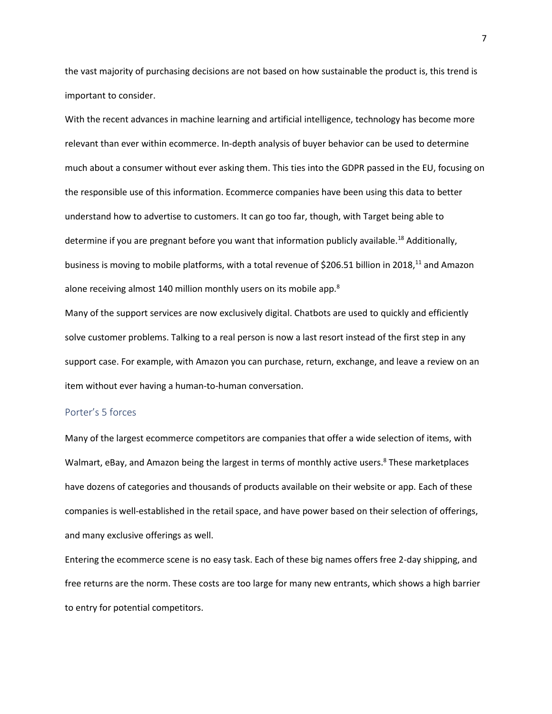the vast majority of purchasing decisions are not based on how sustainable the product is, this trend is important to consider.

With the recent advances in machine learning and artificial intelligence, technology has become more relevant than ever within ecommerce. In-depth analysis of buyer behavior can be used to determine much about a consumer without ever asking them. This ties into the GDPR passed in the EU, focusing on the responsible use of this information. Ecommerce companies have been using this data to better understand how to advertise to customers. It can go too far, though, with Target being able to determine if you are pregnant before you want that information publicly available.<sup>18</sup> Additionally, business is moving to mobile platforms, with a total revenue of \$206.51 billion in 2018,<sup>11</sup> and Amazon alone receiving almost 140 million monthly users on its mobile app.<sup>8</sup>

Many of the support services are now exclusively digital. Chatbots are used to quickly and efficiently solve customer problems. Talking to a real person is now a last resort instead of the first step in any support case. For example, with Amazon you can purchase, return, exchange, and leave a review on an item without ever having a human-to-human conversation.

## <span id="page-7-0"></span>Porter's 5 forces

Many of the largest ecommerce competitors are companies that offer a wide selection of items, with Walmart, eBay, and Amazon being the largest in terms of monthly active users.<sup>8</sup> These marketplaces have dozens of categories and thousands of products available on their website or app. Each of these companies is well-established in the retail space, and have power based on their selection of offerings, and many exclusive offerings as well.

Entering the ecommerce scene is no easy task. Each of these big names offers free 2-day shipping, and free returns are the norm. These costs are too large for many new entrants, which shows a high barrier to entry for potential competitors.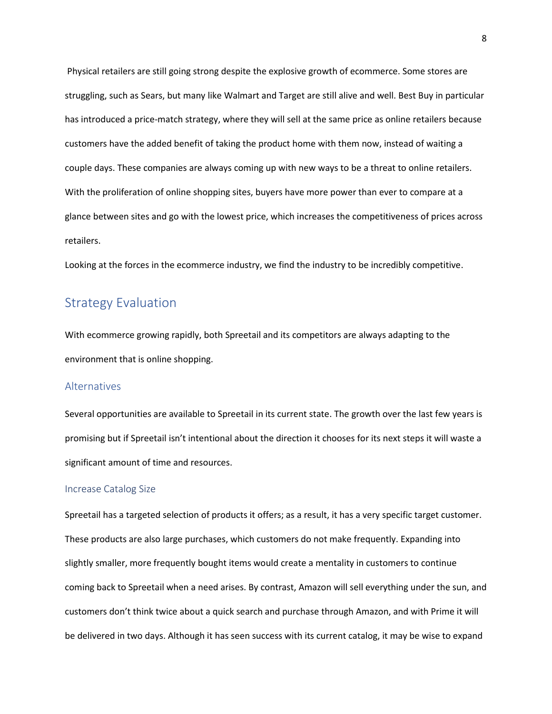Physical retailers are still going strong despite the explosive growth of ecommerce. Some stores are struggling, such as Sears, but many like Walmart and Target are still alive and well. Best Buy in particular has introduced a price-match strategy, where they will sell at the same price as online retailers because customers have the added benefit of taking the product home with them now, instead of waiting a couple days. These companies are always coming up with new ways to be a threat to online retailers. With the proliferation of online shopping sites, buyers have more power than ever to compare at a glance between sites and go with the lowest price, which increases the competitiveness of prices across retailers.

Looking at the forces in the ecommerce industry, we find the industry to be incredibly competitive.

# <span id="page-8-0"></span>Strategy Evaluation

With ecommerce growing rapidly, both Spreetail and its competitors are always adapting to the environment that is online shopping.

## <span id="page-8-1"></span>Alternatives

Several opportunities are available to Spreetail in its current state. The growth over the last few years is promising but if Spreetail isn't intentional about the direction it chooses for its next steps it will waste a significant amount of time and resources.

## <span id="page-8-2"></span>Increase Catalog Size

Spreetail has a targeted selection of products it offers; as a result, it has a very specific target customer. These products are also large purchases, which customers do not make frequently. Expanding into slightly smaller, more frequently bought items would create a mentality in customers to continue coming back to Spreetail when a need arises. By contrast, Amazon will sell everything under the sun, and customers don't think twice about a quick search and purchase through Amazon, and with Prime it will be delivered in two days. Although it has seen success with its current catalog, it may be wise to expand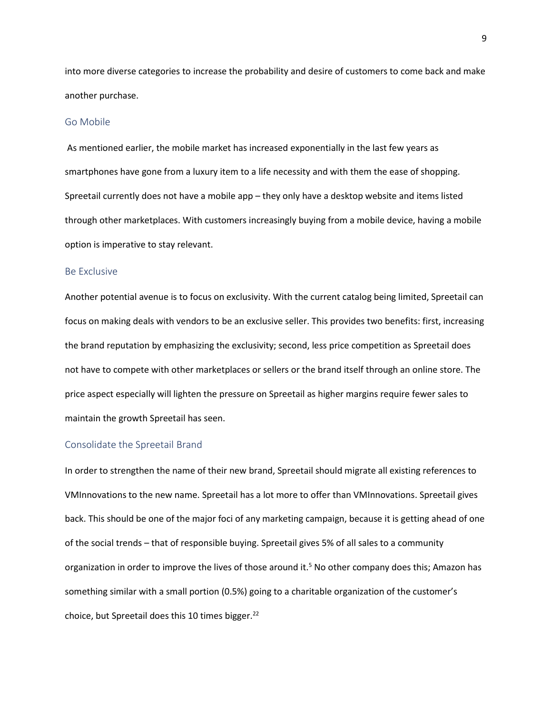into more diverse categories to increase the probability and desire of customers to come back and make another purchase.

### <span id="page-9-0"></span>Go Mobile

As mentioned earlier, the mobile market has increased exponentially in the last few years as smartphones have gone from a luxury item to a life necessity and with them the ease of shopping. Spreetail currently does not have a mobile app – they only have a desktop website and items listed through other marketplaces. With customers increasingly buying from a mobile device, having a mobile option is imperative to stay relevant.

## <span id="page-9-1"></span>Be Exclusive

Another potential avenue is to focus on exclusivity. With the current catalog being limited, Spreetail can focus on making deals with vendors to be an exclusive seller. This provides two benefits: first, increasing the brand reputation by emphasizing the exclusivity; second, less price competition as Spreetail does not have to compete with other marketplaces or sellers or the brand itself through an online store. The price aspect especially will lighten the pressure on Spreetail as higher margins require fewer sales to maintain the growth Spreetail has seen.

#### <span id="page-9-2"></span>Consolidate the Spreetail Brand

In order to strengthen the name of their new brand, Spreetail should migrate all existing references to VMInnovations to the new name. Spreetail has a lot more to offer than VMInnovations. Spreetail gives back. This should be one of the major foci of any marketing campaign, because it is getting ahead of one of the social trends – that of responsible buying. Spreetail gives 5% of all sales to a community organization in order to improve the lives of those around it.<sup>5</sup> No other company does this; Amazon has something similar with a small portion (0.5%) going to a charitable organization of the customer's choice, but Spreetail does this 10 times bigger.<sup>22</sup>

9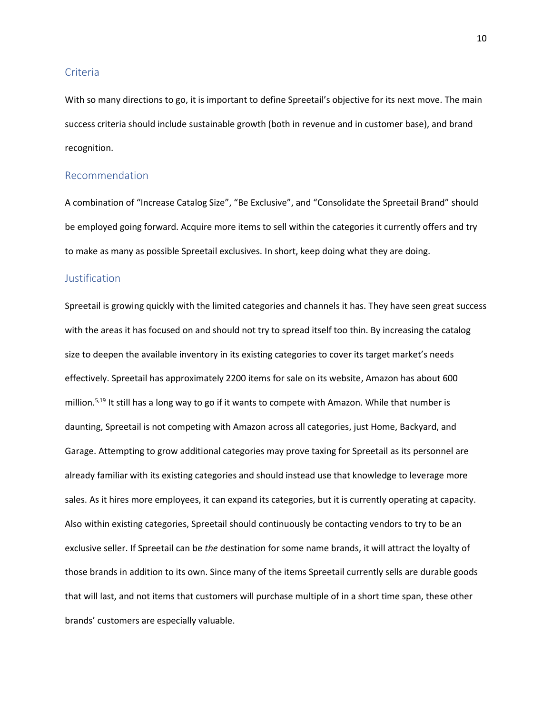### <span id="page-10-0"></span>Criteria

With so many directions to go, it is important to define Spreetail's objective for its next move. The main success criteria should include sustainable growth (both in revenue and in customer base), and brand recognition.

## <span id="page-10-1"></span>Recommendation

A combination of "Increase Catalog Size", "Be Exclusive", and "Consolidate the Spreetail Brand" should be employed going forward. Acquire more items to sell within the categories it currently offers and try to make as many as possible Spreetail exclusives. In short, keep doing what they are doing.

## <span id="page-10-2"></span>Justification

Spreetail is growing quickly with the limited categories and channels it has. They have seen great success with the areas it has focused on and should not try to spread itself too thin. By increasing the catalog size to deepen the available inventory in its existing categories to cover its target market's needs effectively. Spreetail has approximately 2200 items for sale on its website, Amazon has about 600 million.<sup>5,19</sup> It still has a long way to go if it wants to compete with Amazon. While that number is daunting, Spreetail is not competing with Amazon across all categories, just Home, Backyard, and Garage. Attempting to grow additional categories may prove taxing for Spreetail as its personnel are already familiar with its existing categories and should instead use that knowledge to leverage more sales. As it hires more employees, it can expand its categories, but it is currently operating at capacity. Also within existing categories, Spreetail should continuously be contacting vendors to try to be an exclusive seller. If Spreetail can be *the* destination for some name brands, it will attract the loyalty of those brands in addition to its own. Since many of the items Spreetail currently sells are durable goods that will last, and not items that customers will purchase multiple of in a short time span, these other brands' customers are especially valuable.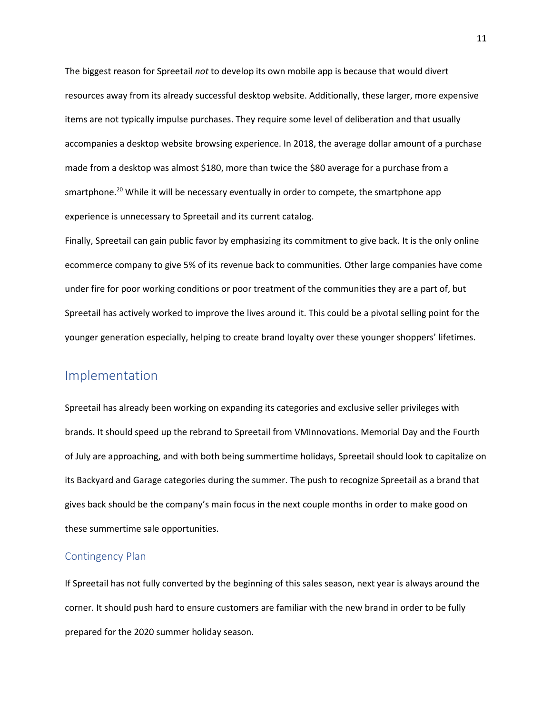The biggest reason for Spreetail *not* to develop its own mobile app is because that would divert resources away from its already successful desktop website. Additionally, these larger, more expensive items are not typically impulse purchases. They require some level of deliberation and that usually accompanies a desktop website browsing experience. In 2018, the average dollar amount of a purchase made from a desktop was almost \$180, more than twice the \$80 average for a purchase from a smartphone.<sup>20</sup> While it will be necessary eventually in order to compete, the smartphone app experience is unnecessary to Spreetail and its current catalog.

Finally, Spreetail can gain public favor by emphasizing its commitment to give back. It is the only online ecommerce company to give 5% of its revenue back to communities. Other large companies have come under fire for poor working conditions or poor treatment of the communities they are a part of, but Spreetail has actively worked to improve the lives around it. This could be a pivotal selling point for the younger generation especially, helping to create brand loyalty over these younger shoppers' lifetimes.

# <span id="page-11-0"></span>Implementation

Spreetail has already been working on expanding its categories and exclusive seller privileges with brands. It should speed up the rebrand to Spreetail from VMInnovations. Memorial Day and the Fourth of July are approaching, and with both being summertime holidays, Spreetail should look to capitalize on its Backyard and Garage categories during the summer. The push to recognize Spreetail as a brand that gives back should be the company's main focus in the next couple months in order to make good on these summertime sale opportunities.

## <span id="page-11-1"></span>Contingency Plan

If Spreetail has not fully converted by the beginning of this sales season, next year is always around the corner. It should push hard to ensure customers are familiar with the new brand in order to be fully prepared for the 2020 summer holiday season.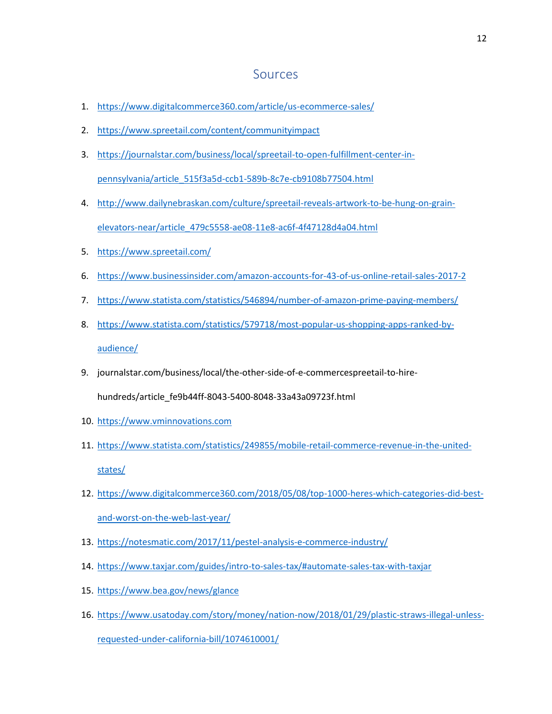## **Sources**

- <span id="page-12-0"></span>1. <https://www.digitalcommerce360.com/article/us-ecommerce-sales/>
- 2. <https://www.spreetail.com/content/communityimpact>
- 3. [https://journalstar.com/business/local/spreetail-to-open-fulfillment-center-in](https://journalstar.com/business/local/spreetail-to-open-fulfillment-center-in-pennsylvania/article_515f3a5d-ccb1-589b-8c7e-cb9108b77504.html)[pennsylvania/article\\_515f3a5d-ccb1-589b-8c7e-cb9108b77504.html](https://journalstar.com/business/local/spreetail-to-open-fulfillment-center-in-pennsylvania/article_515f3a5d-ccb1-589b-8c7e-cb9108b77504.html)
- 4. [http://www.dailynebraskan.com/culture/spreetail-reveals-artwork-to-be-hung-on-grain](http://www.dailynebraskan.com/culture/spreetail-reveals-artwork-to-be-hung-on-grain-elevators-near/article_479c5558-ae08-11e8-ac6f-4f47128d4a04.html)[elevators-near/article\\_479c5558-ae08-11e8-ac6f-4f47128d4a04.html](http://www.dailynebraskan.com/culture/spreetail-reveals-artwork-to-be-hung-on-grain-elevators-near/article_479c5558-ae08-11e8-ac6f-4f47128d4a04.html)
- 5. <https://www.spreetail.com/>
- 6. <https://www.businessinsider.com/amazon-accounts-for-43-of-us-online-retail-sales-2017-2>
- 7. <https://www.statista.com/statistics/546894/number-of-amazon-prime-paying-members/>
- 8. [https://www.statista.com/statistics/579718/most-popular-us-shopping-apps-ranked-by](https://www.statista.com/statistics/579718/most-popular-us-shopping-apps-ranked-by-audience/)[audience/](https://www.statista.com/statistics/579718/most-popular-us-shopping-apps-ranked-by-audience/)
- 9. journalstar.com/business/local/the-other-side-of-e-commercespreetail-to-hirehundreds/article\_fe9b44ff-8043-5400-8048-33a43a09723f.html
- 10. [https://www.vminnovations.com](https://www.vminnovations.com/)
- 11. [https://www.statista.com/statistics/249855/mobile-retail-commerce-revenue-in-the-united](https://www.statista.com/statistics/249855/mobile-retail-commerce-revenue-in-the-united-states/)[states/](https://www.statista.com/statistics/249855/mobile-retail-commerce-revenue-in-the-united-states/)
- 12. [https://www.digitalcommerce360.com/2018/05/08/top-1000-heres-which-categories-did-best](https://www.digitalcommerce360.com/2018/05/08/top-1000-heres-which-categories-did-best-and-worst-on-the-web-last-year/)[and-worst-on-the-web-last-year/](https://www.digitalcommerce360.com/2018/05/08/top-1000-heres-which-categories-did-best-and-worst-on-the-web-last-year/)
- 13. <https://notesmatic.com/2017/11/pestel-analysis-e-commerce-industry/>
- 14. <https://www.taxjar.com/guides/intro-to-sales-tax/#automate-sales-tax-with-taxjar>
- 15. <https://www.bea.gov/news/glance>
- 16. [https://www.usatoday.com/story/money/nation-now/2018/01/29/plastic-straws-illegal-unless](https://www.usatoday.com/story/money/nation-now/2018/01/29/plastic-straws-illegal-unless-requested-under-california-bill/1074610001/)[requested-under-california-bill/1074610001/](https://www.usatoday.com/story/money/nation-now/2018/01/29/plastic-straws-illegal-unless-requested-under-california-bill/1074610001/)